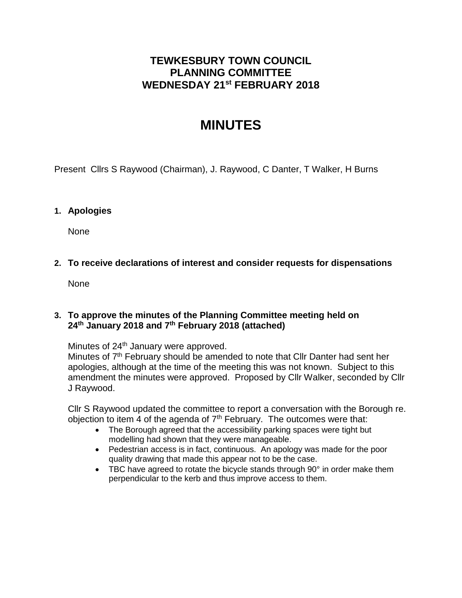## **TEWKESBURY TOWN COUNCIL PLANNING COMMITTEE WEDNESDAY 21 st FEBRUARY 2018**

# **MINUTES**

Present Cllrs S Raywood (Chairman), J. Raywood, C Danter, T Walker, H Burns

### **1. Apologies**

None

### **2. To receive declarations of interest and consider requests for dispensations**

None

### **3. To approve the minutes of the Planning Committee meeting held on 24th January 2018 and 7th February 2018 (attached)**

Minutes of 24<sup>th</sup> January were approved.

Minutes of  $7<sup>th</sup>$  February should be amended to note that CIIr Danter had sent her apologies, although at the time of the meeting this was not known. Subject to this amendment the minutes were approved. Proposed by Cllr Walker, seconded by Cllr J Raywood.

Cllr S Raywood updated the committee to report a conversation with the Borough re. objection to item 4 of the agenda of  $7<sup>th</sup>$  February. The outcomes were that:

- The Borough agreed that the accessibility parking spaces were tight but modelling had shown that they were manageable.
- Pedestrian access is in fact, continuous. An apology was made for the poor quality drawing that made this appear not to be the case.
- TBC have agreed to rotate the bicycle stands through 90° in order make them perpendicular to the kerb and thus improve access to them.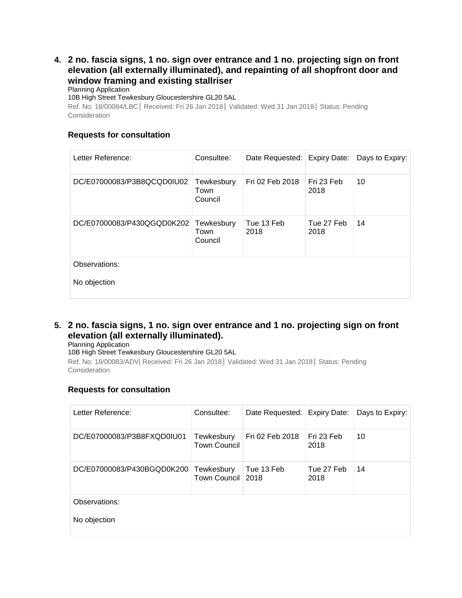### **4. [2 no. fascia signs, 1 no. sign over entrance and 1 no. projecting sign on front](http://publicaccess.tewkesbury.gov.uk/online-applications/applicationDetails.do?activeTab=summary&keyVal=P360OVQDGXI00&prevPage=inTray)  [elevation \(all externally illuminated\), and repainting of all shopfront door and](http://publicaccess.tewkesbury.gov.uk/online-applications/applicationDetails.do?activeTab=summary&keyVal=P360OVQDGXI00&prevPage=inTray)  [window framing and existing stallriser](http://publicaccess.tewkesbury.gov.uk/online-applications/applicationDetails.do?activeTab=summary&keyVal=P360OVQDGXI00&prevPage=inTray)**

Planning Application

10B High Street Tewkesbury Gloucestershire GL20 5AL

Ref. No: 18/00084/LBC| Received: Fri 26 Jan 2018| Validated: Wed 31 Jan 2018| Status: Pending **Consideration** 

### **Requests for consultation**

| Letter Reference:          | Consultee:                    | Date Requested: Expiry Date: |                    | Days to Expiry: |
|----------------------------|-------------------------------|------------------------------|--------------------|-----------------|
| DC/E07000083/P3B8QCQD0IU02 | Tewkesbury<br>Town<br>Council | Fri 02 Feb 2018              | Fri 23 Feb<br>2018 | 10              |
| DC/E07000083/P430QGQD0K202 | Tewkesbury<br>Town<br>Council | Tue 13 Feb<br>2018           | Tue 27 Feb<br>2018 | 14              |
| Observations:              |                               |                              |                    |                 |
| No objection               |                               |                              |                    |                 |

### **5. [2 no. fascia signs, 1 no. sign over entrance and 1 no. projecting sign on front](http://publicaccess.tewkesbury.gov.uk/online-applications/applicationDetails.do?activeTab=summary&keyVal=P360ORQDGXG00&prevPage=inTray)  elevation [\(all externally illuminated\).](http://publicaccess.tewkesbury.gov.uk/online-applications/applicationDetails.do?activeTab=summary&keyVal=P360ORQDGXG00&prevPage=inTray)**

Planning Application

10B High Street Tewkesbury Gloucestershire GL20 5AL

Ref. No: 18/00083/ADV| Received: Fri 26 Jan 2018| Validated: Wed 31 Jan 2018| Status: Pending Consideration

### **Requests for consultation**

| Letter Reference:          | Consultee:                        | Date Requested: Expiry Date: |                    | Days to Expiry: |
|----------------------------|-----------------------------------|------------------------------|--------------------|-----------------|
| DC/E07000083/P3B8FXQD0IU01 | Tewkesbury<br><b>Town Council</b> | Fri 02 Feb 2018              | Fri 23 Feb<br>2018 | 10              |
| DC/E07000083/P430BGQD0K200 | Tewkesbury<br>Town Council 2018   | Tue 13 Feb                   | Tue 27 Feb<br>2018 | 14              |
| Observations:              |                                   |                              |                    |                 |
| No objection               |                                   |                              |                    |                 |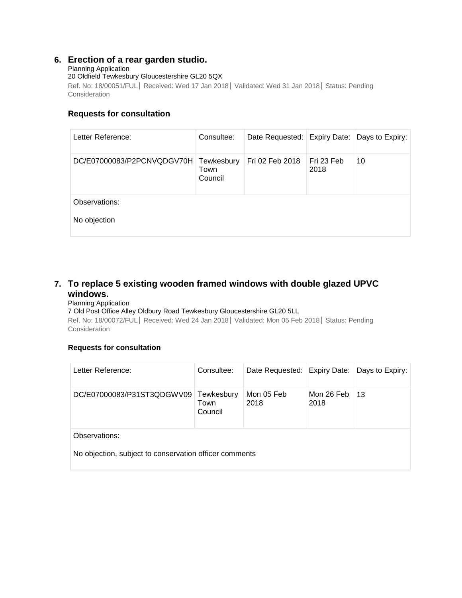### **6. [Erection of a rear garden studio.](http://publicaccess.tewkesbury.gov.uk/online-applications/applicationDetails.do?activeTab=summary&keyVal=P2PCNVQDGV700&prevPage=inTray)**

#### Planning Application

20 Oldfield Tewkesbury Gloucestershire GL20 5QX

Ref. No: 18/00051/FUL| Received: Wed 17 Jan 2018| Validated: Wed 31 Jan 2018| Status: Pending **Consideration** 

#### **Requests for consultation**

| Letter Reference:             | Consultee:                    | Date Requested: Expiry Date: Days to Expiry: |                    |    |
|-------------------------------|-------------------------------|----------------------------------------------|--------------------|----|
| DC/E07000083/P2PCNVQDGV70H    | Tewkesbury<br>Town<br>Council | Fri 02 Feb 2018                              | Fri 23 Feb<br>2018 | 10 |
| Observations:<br>No objection |                               |                                              |                    |    |
|                               |                               |                                              |                    |    |

### **7. [To replace 5 existing wooden framed windows with double glazed UPVC](http://publicaccess.tewkesbury.gov.uk/online-applications/applicationDetails.do?activeTab=summary&keyVal=P31ST2QDGWV00&prevPage=inTray)  [windows.](http://publicaccess.tewkesbury.gov.uk/online-applications/applicationDetails.do?activeTab=summary&keyVal=P31ST2QDGWV00&prevPage=inTray)**

#### Planning Application

#### 7 Old Post Office Alley Oldbury Road Tewkesbury Gloucestershire GL20 5LL

Ref. No: 18/00072/FUL| Received: Wed 24 Jan 2018| Validated: Mon 05 Feb 2018| Status: Pending **Consideration** 

#### **Requests for consultation**

| Letter Reference:                                                       | Consultee:                    | Date Requested: Expiry Date: Days to Expiry: |                    |    |  |
|-------------------------------------------------------------------------|-------------------------------|----------------------------------------------|--------------------|----|--|
| DC/E07000083/P31ST3QDGWV09                                              | Tewkesbury<br>Town<br>Council | Mon 05 Feb<br>2018                           | Mon 26 Feb<br>2018 | 13 |  |
| Observations:<br>No objection, subject to conservation officer comments |                               |                                              |                    |    |  |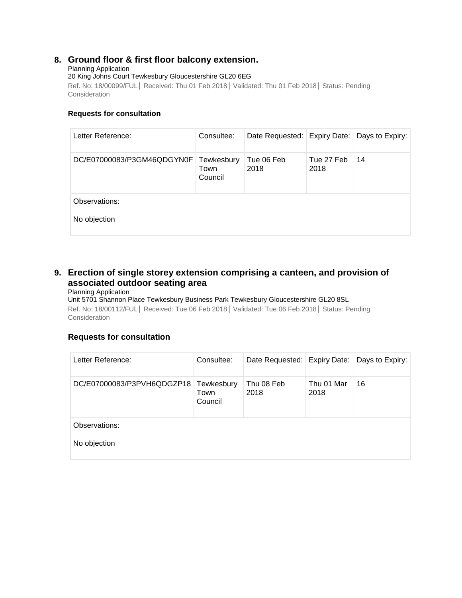### **8. [Ground floor & first floor balcony extension.](http://publicaccess.tewkesbury.gov.uk/online-applications/applicationDetails.do?activeTab=summary&keyVal=P3GM45QDGYN00&prevPage=inTray)**

#### Planning Application

20 King Johns Court Tewkesbury Gloucestershire GL20 6EG

Ref. No: 18/00099/FUL| Received: Thu 01 Feb 2018| Validated: Thu 01 Feb 2018| Status: Pending **Consideration** 

#### **Requests for consultation**

| Letter Reference:          | Consultee:                    | Date Requested: Expiry Date: Days to Expiry: |                    |    |
|----------------------------|-------------------------------|----------------------------------------------|--------------------|----|
| DC/E07000083/P3GM46QDGYN0F | Tewkesbury<br>Town<br>Council | Tue 06 Feb<br>2018                           | Tue 27 Feb<br>2018 | 14 |
| Observations:              |                               |                                              |                    |    |
| No objection               |                               |                                              |                    |    |

### **9. [Erection of single storey extension comprising a canteen, and provision of](http://publicaccess.tewkesbury.gov.uk/online-applications/applicationDetails.do?activeTab=summary&keyVal=P3PVH6QDGZP00&prevPage=inTray)  [associated outdoor seating area](http://publicaccess.tewkesbury.gov.uk/online-applications/applicationDetails.do?activeTab=summary&keyVal=P3PVH6QDGZP00&prevPage=inTray)**

#### Planning Application

Unit 5701 Shannon Place Tewkesbury Business Park Tewkesbury Gloucestershire GL20 8SL Ref. No: 18/00112/FUL| Received: Tue 06 Feb 2018| Validated: Tue 06 Feb 2018| Status: Pending **Consideration** 

### **Requests for consultation**

| Letter Reference:          | Consultee:                    | Date Requested: Expiry Date: |                    | Days to Expiry: |
|----------------------------|-------------------------------|------------------------------|--------------------|-----------------|
| DC/E07000083/P3PVH6QDGZP18 | Tewkesbury<br>Town<br>Council | Thu 08 Feb<br>2018           | Thu 01 Mar<br>2018 | 16              |
| Observations:              |                               |                              |                    |                 |
| No objection               |                               |                              |                    |                 |